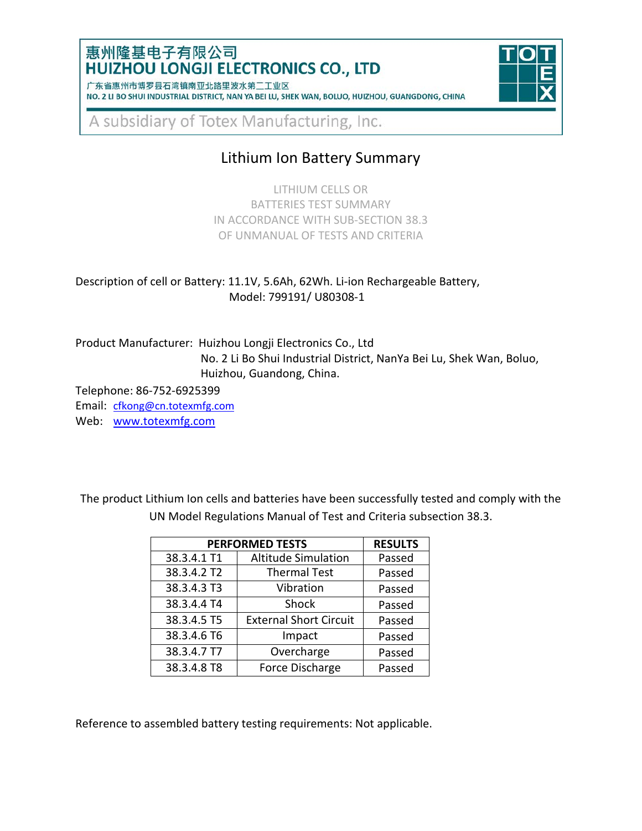### 惠州隆基电子有限公司 HUIZHOU LONGJI ELECTRONICS CO., LTD

| 1 朱省惠州市博岁县石湾镇南业北路里波水弟二上业区 |                                                                                                 |  |  |  |  |  |  |
|---------------------------|-------------------------------------------------------------------------------------------------|--|--|--|--|--|--|
|                           | NO. 2 LI BO SHUI INDUSTRIAL DISTRICT, NAN YA BEI LU, SHEK WAN, BOLUO, HUIZHOU, GUANGDONG, CHINA |  |  |  |  |  |  |



A subsidiary of Totex Manufacturing, Inc.

# Lithium Ion Battery Summary

LITHIUM CELLS OR BATTERIES TEST SUMMARY IN ACCORDANCE WITH SUB-SECTION 38.3 OF UNMANUAL OF TESTS AND CRITERIA

Description of cell or Battery: 11.1V, 5.6Ah, 62Wh. Li-ion Rechargeable Battery, Model: 799191/ U80308-1

Product Manufacturer: Huizhou Longji Electronics Co., Ltd No. 2 Li Bo Shui Industrial District, NanYa Bei Lu, Shek Wan, Boluo, Huizhou, Guandong, China.

Telephone: 86-752-6925399

Email: [cfkong@cn.totexmfg.com](mailto:cfkong@cn.totexmfg.com) Web: [www.totexmfg.com](http://www.totexmfg.com/)

**PERFORMED TESTS RESULTS** 38.3.4.1 T1 Altitude Simulation Passed 38.3.4.2 T2 Thermal Test Passed 38.3.4.3 T3 Vibration Passed 38.3.4.4 T4 Shock Passed 38.3.4.5 T5 External Short Circuit Passed 38.3.4.6 T6 Impact Passed 38.3.4.7 T7 | Overcharge | Passed 38.3.4.8 T8 | Force Discharge | Passed

The product Lithium Ion cells and batteries have been successfully tested and comply with the UN Model Regulations Manual of Test and Criteria subsection 38.3.

Reference to assembled battery testing requirements: Not applicable.